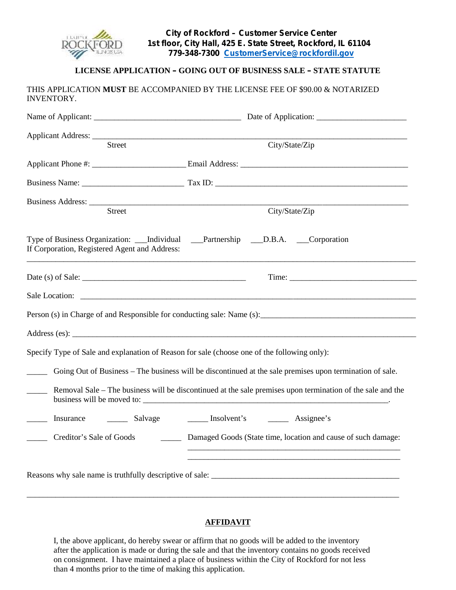

# **LICENSE APPLICATION – GOING OUT OF BUSINESS SALE – STATE STATUTE**

| Street                                        |                                                                                           | City/State/Zip                                                                                                                           |  |  |
|-----------------------------------------------|-------------------------------------------------------------------------------------------|------------------------------------------------------------------------------------------------------------------------------------------|--|--|
|                                               |                                                                                           |                                                                                                                                          |  |  |
|                                               |                                                                                           |                                                                                                                                          |  |  |
|                                               |                                                                                           |                                                                                                                                          |  |  |
| Street                                        |                                                                                           | City/State/Zip                                                                                                                           |  |  |
| If Corporation, Registered Agent and Address: |                                                                                           | Type of Business Organization: ____Individual _____Partnership _____D.B.A. _____Corporation                                              |  |  |
|                                               |                                                                                           |                                                                                                                                          |  |  |
|                                               |                                                                                           |                                                                                                                                          |  |  |
|                                               |                                                                                           | Person (s) in Charge of and Responsible for conducting sale: Name (s): _____________________________                                     |  |  |
|                                               |                                                                                           |                                                                                                                                          |  |  |
|                                               |                                                                                           | Specify Type of Sale and explanation of Reason for sale (choose one of the following only):                                              |  |  |
|                                               |                                                                                           | Going Out of Business – The business will be discontinued at the sale premises upon termination of sale.                                 |  |  |
| $\frac{1}{1}$                                 |                                                                                           | Removal Sale – The business will be discontinued at the sale premises upon termination of the sale and the<br>business will be moved to: |  |  |
|                                               |                                                                                           |                                                                                                                                          |  |  |
|                                               | Creditor's Sale of Goods<br>Damaged Goods (State time, location and cause of such damage: |                                                                                                                                          |  |  |
|                                               |                                                                                           |                                                                                                                                          |  |  |
|                                               |                                                                                           | <u> 1989 - Johann Barn, amerikan bernama di sebagai bernama di sebagai bernama di sebagai bernama di sebagai ber</u>                     |  |  |

## **AFFIDAVIT**

I, the above applicant, do hereby swear or affirm that no goods will be added to the inventory after the application is made or during the sale and that the inventory contains no goods received on consignment. I have maintained a place of business within the City of Rockford for not less than 4 months prior to the time of making this application.